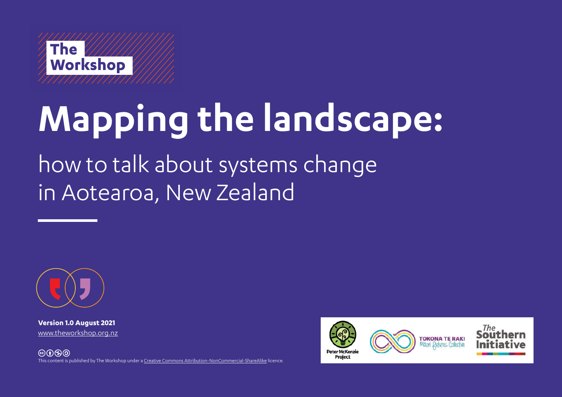

# **Mapping the landscape:**

**'** how to talk about systems change in Aotearoa, New Zealand



**Version 1.0 August 2021** www.theworkshop.org.nz

௵ This content is published by The Workshop under a Creative Commons Attribution-NonCommercial-ShareAlike licence.

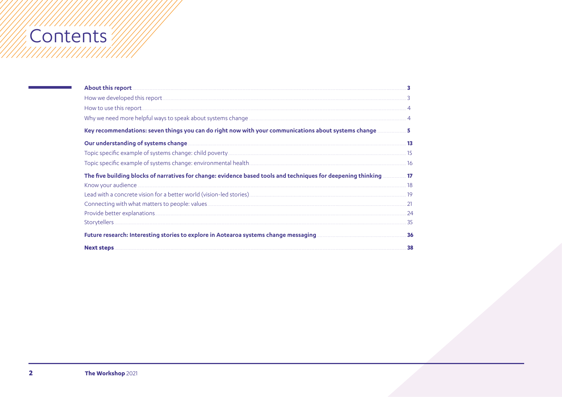# himmumum<br>;Contents?<br>://///////////////////////

| Key recommendations: seven things you can do right now with your communications about systems change 5            |  |
|-------------------------------------------------------------------------------------------------------------------|--|
|                                                                                                                   |  |
|                                                                                                                   |  |
|                                                                                                                   |  |
|                                                                                                                   |  |
| The five building blocks of narratives for change: evidence based tools and techniques for deepening thinking  17 |  |
|                                                                                                                   |  |
|                                                                                                                   |  |
|                                                                                                                   |  |
|                                                                                                                   |  |
|                                                                                                                   |  |
|                                                                                                                   |  |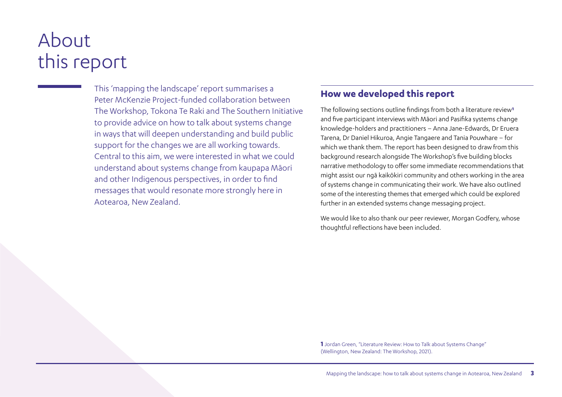# About this report

This 'mapping the landscape' report summarises a Peter McKenzie Project-funded collaboration between The Workshop, Tokona Te Raki and The Southern Initiative to provide advice on how to talk about systems change in ways that will deepen understanding and build public support for the changes we are all working towards. Central to this aim, we were interested in what we could understand about systems change from kaupapa Māori and other Indigenous perspectives, in order to find messages that would resonate more strongly here in Aotearoa, New Zealand.

## **How we developed this report**

The following sections outline findings from both a literature review<sup>1</sup> and five participant interviews with Māori and Pasifika systems change knowledge-holders and practitioners – Anna Jane-Edwards, Dr Eruera Tarena, Dr Daniel Hikuroa, Angie Tangaere and Tania Pouwhare – for which we thank them. The report has been designed to draw from this background research alongside The Workshop's five building blocks narrative methodology to offer some immediate recommendations that might assist our ngā kaikōkiri community and others working in the area of systems change in communicating their work. We have also outlined some of the interesting themes that emerged which could be explored further in an extended systems change messaging project.

We would like to also thank our peer reviewer, Morgan Godfery, whose thoughtful reflections have been included.

**1** Jordan Green, "Literature Review: How to Talk about Systems Change" (Wellington, New Zealand: The Workshop, 2021).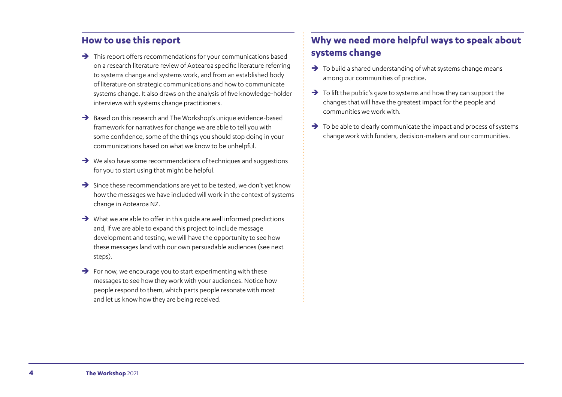## **How to use this report**

- $\rightarrow$  This report offers recommendations for your communications based on a research literature review of Aotearoa specific literature referring to systems change and systems work, and from an established body of literature on strategic communications and how to communicate systems change. It also draws on the analysis of five knowledge-holder interviews with systems change practitioners.
- $\rightarrow$  Based on this research and The Workshop's unique evidence-based framework for narratives for change we are able to tell you with some confidence, some of the things you should stop doing in your communications based on what we know to be unhelpful.
- $\rightarrow$  We also have some recommendations of techniques and suggestions for you to start using that might be helpful.
- $\rightarrow$  Since these recommendations are yet to be tested, we don't yet know how the messages we have included will work in the context of systems change in Aotearoa NZ.
- $\rightarrow$  What we are able to offer in this guide are well informed predictions and, if we are able to expand this project to include message development and testing, we will have the opportunity to see how these messages land with our own persuadable audiences (see next steps).
- $\rightarrow$  For now, we encourage you to start experimenting with these messages to see how they work with your audiences. Notice how people respond to them, which parts people resonate with most and let us know how they are being received.

# **Why we need more helpful ways to speak about systems change**

- $\rightarrow$  To build a shared understanding of what systems change means among our communities of practice.
- $\rightarrow$  To lift the public's gaze to systems and how they can support the changes that will have the greatest impact for the people and communities we work with.
- $\rightarrow$  To be able to clearly communicate the impact and process of systems change work with funders, decision-makers and our communities.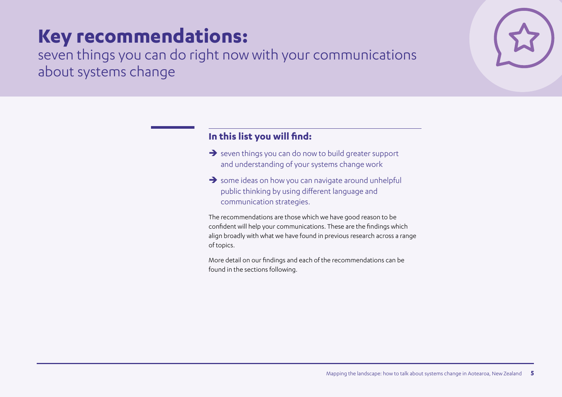seven things you can do right now with your communications about systems change



## **In this list you will find:**

- $\rightarrow$  seven things you can do now to build greater support and understanding of your systems change work
- $\rightarrow$  some ideas on how you can navigate around unhelpful public thinking by using different language and communication strategies.

The recommendations are those which we have good reason to be confident will help your communications. These are the findings which align broadly with what we have found in previous research across a range of topics.

More detail on our findings and each of the recommendations can be found in the sections following.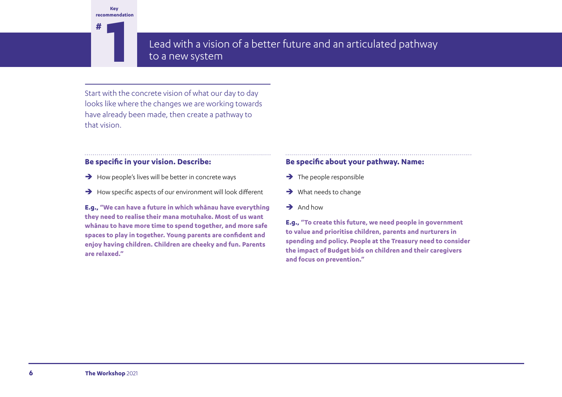**#**

# **1** Lead with a vision of a better future and an articulated pathway to a new system

Start with the concrete vision of what our day to day looks like where the changes we are working towards have already been made, then create a pathway to that vision.

#### **Be specific in your vision. Describe:**

- $\rightarrow$  How people's lives will be better in concrete ways
- $\rightarrow$  How specific aspects of our environment will look different

**E.g., "We can have a future in which whānau have everything they need to realise their mana motuhake. Most of us want whānau to have more time to spend together, and more safe spaces to play in together. Young parents are confident and enjoy having children. Children are cheeky and fun. Parents are relaxed."**

#### **Be specific about your pathway. Name:**

- $\rightarrow$  The people responsible
- $\rightarrow$  What needs to change
- $\rightarrow$  And how

**E.g., "To create this future, we need people in government to value and prioritise children, parents and nurturers in spending and policy. People at the Treasury need to consider the impact of Budget bids on children and their caregivers and focus on prevention."**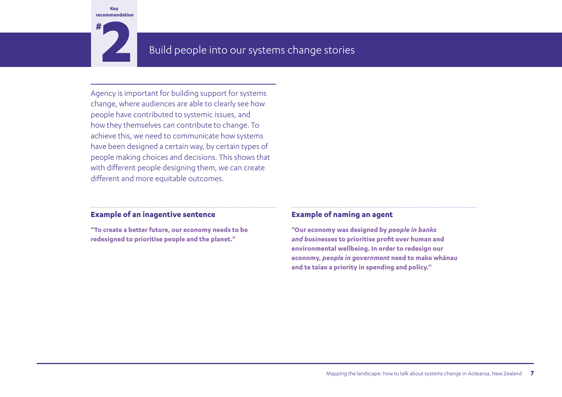

# **2** Build people into our systems change stories

Agency is important for building support for systems change, where audiences are able to clearly see how people have contributed to systemic issues, and how they themselves can contribute to change. To achieve this, we need to communicate how systems have been designed a certain way, by certain types of people making choices and decisions. This shows that with different people designing them, we can create different and more equitable outcomes.

#### **Example of an inagentive sentence**

**"To create a better future, our economy needs to be redesigned to prioritise people and the planet."**

#### **Example of naming an agent**

**"Our economy was designed by** *people in banks and businesses* **to prioritise profit over human and environmental wellbeing. In order to redesign our economy,** *people in government* **need to make whānau and te taiao a priority in spending and policy."**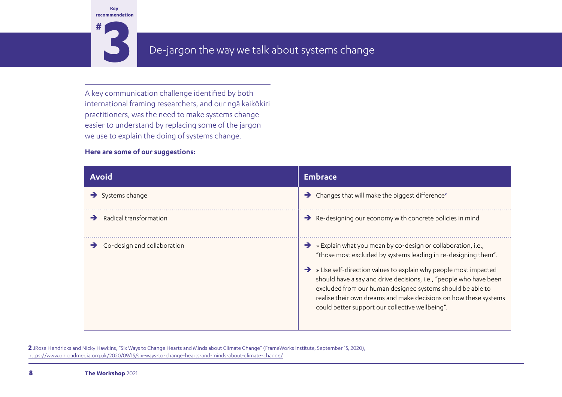

# **3** De-jargon the way we talk about systems change

A key communication challenge identified by both international framing researchers, and our ngā kaikōkiri practitioners, was the need to make systems change easier to understand by replacing some of the jargon we use to explain the doing of systems change.

#### **Here are some of our suggestions:**

| <b>Avoid</b>                 | <b>Embrace</b>                                                                                                                                                                                                                                                                                                                                                                                                                                                 |
|------------------------------|----------------------------------------------------------------------------------------------------------------------------------------------------------------------------------------------------------------------------------------------------------------------------------------------------------------------------------------------------------------------------------------------------------------------------------------------------------------|
| $\rightarrow$ Systems change | Changes that will make the biggest difference <sup>2</sup>                                                                                                                                                                                                                                                                                                                                                                                                     |
| Radical transformation       | Re-designing our economy with concrete policies in mind                                                                                                                                                                                                                                                                                                                                                                                                        |
| Co-design and collaboration  | > x Explain what you mean by co-design or collaboration, i.e.,<br>"those most excluded by systems leading in re-designing them".<br>» Use self-direction values to explain why people most impacted<br>should have a say and drive decisions, i.e., "people who have been<br>excluded from our human designed systems should be able to<br>realise their own dreams and make decisions on how these systems<br>could better support our collective wellbeing". |

**2** JRose Hendricks and Nicky Hawkins, "Six Ways to Change Hearts and Minds about Climate Change" (FrameWorks Institute, September 15, 2020), [https://www.onroadmedia.org.uk/2020/09/15/six-ways-to-change-hearts-and-minds-about-climate-change/](https://onroadmedia.org.uk/2020/09/15/six-ways-to-change-hearts-and-minds-about-climate-change/)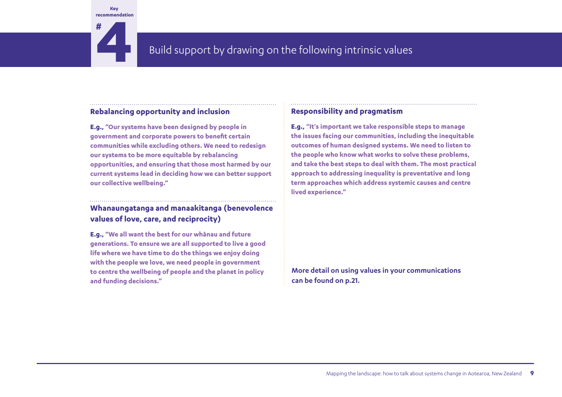# **#**

# **4** Build support by drawing on the following intrinsic values

#### **Rebalancing opportunity and inclusion**

**E.g., "Our systems have been designed by people in government and corporate powers to benefit certain communities while excluding others. We need to redesign our systems to be more equitable by rebalancing opportunities, and ensuring that those most harmed by our current systems lead in deciding how we can better support our collective wellbeing."**

## **Whanaungatanga and manaakitanga (benevolence values of love, care, and reciprocity)**

**E.g., "We all want the best for our whānau and future generations. To ensure we are all supported to live a good life where we have time to do the things we enjoy doing with the people we love, we need people in government to centre the wellbeing of people and the planet in policy and funding decisions."**

#### **Responsibility and pragmatism**

**E.g., "It's important we take responsible steps to manage the issues facing our communities, including the inequitable outcomes of human designed systems. We need to listen to the people who know what works to solve these problems, and take the best steps to deal with them. The most practical approach to addressing inequality is preventative and long term approaches which address systemic causes and centre lived experience."**

**More detail on using values in your communications can be found on p.21.**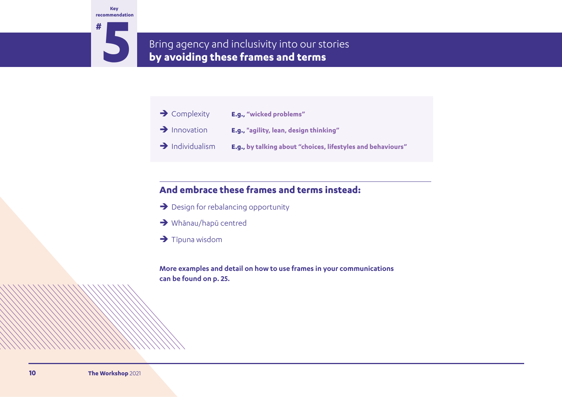**#**

# **5** Bring agency and inclusivity into our stories **by avoiding these frames and terms**

- Î Complexity **E.g., "wicked problems"**
- Î Innovation **E.g., "agility, lean, design thinking"**
- Î Individualism **E.g., by talking about "choices, lifestyles and behaviours"**

# **And embrace these frames and terms instead:**

- $\rightarrow$  Design for rebalancing opportunity
- $\rightarrow$  Whānau/hapū centred
- $\rightarrow$  Tīpuna wisdom

**More examples and detail on how to use frames in your communications can be found on p. 25.**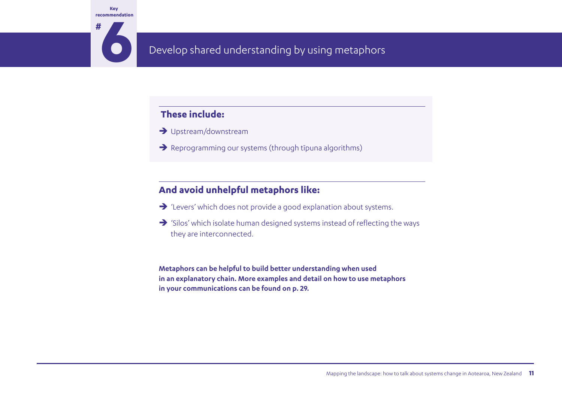**#**

# **6** Develop shared understanding by using metaphors

# **These include:**

- $\rightarrow$  Upstream/downstream
- $\rightarrow$  Reprogramming our systems (through tīpuna algorithms)

## **And avoid unhelpful metaphors like:**

- $\rightarrow$  'Levers' which does not provide a good explanation about systems.
- $\rightarrow$  'Silos' which isolate human designed systems instead of reflecting the ways they are interconnected.

**Metaphors can be helpful to build better understanding when used in an explanatory chain. More examples and detail on how to use metaphors in your communications can be found on p. 29.**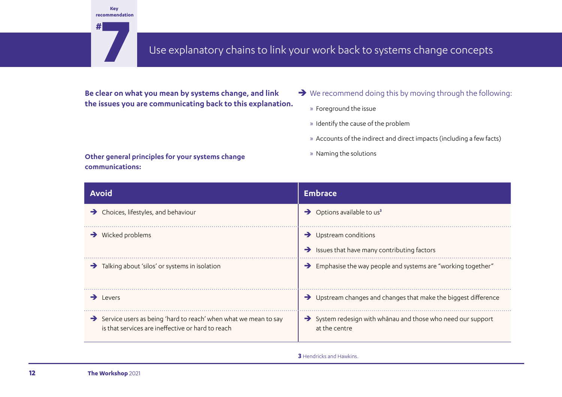

# **7** Use explanatory chains to link your work back to systems change concepts

**Be clear on what you mean by systems change, and link the issues you are communicating back to this explanation.**

- $\rightarrow$  We recommend doing this by moving through the following:
	- » Foreground the issue
	- » Identify the cause of the problem
	- » Accounts of the indirect and direct impacts (including a few facts)

**Other general principles for your systems change communications:**

» Naming the solutions

| <b>Avoid</b>                                                                                                         | <b>Embrace</b>                                                                            |
|----------------------------------------------------------------------------------------------------------------------|-------------------------------------------------------------------------------------------|
| $\rightarrow$ Choices, lifestyles, and behaviour                                                                     | Options available to us <sup>3</sup>                                                      |
| $\rightarrow$ Wicked problems                                                                                        | Upstream conditions                                                                       |
|                                                                                                                      | Issues that have many contributing factors                                                |
| $\rightarrow$ Talking about 'silos' or systems in isolation                                                          | Emphasise the way people and systems are "working together"<br>$\rightarrow$              |
| Levers                                                                                                               | Upstream changes and changes that make the biggest difference                             |
| Service users as being 'hard to reach' when what we mean to say<br>is that services are ineffective or hard to reach | $\rightarrow$ System redesign with whanau and those who need our support<br>at the centre |

#### **3** Hendricks and Hawkins.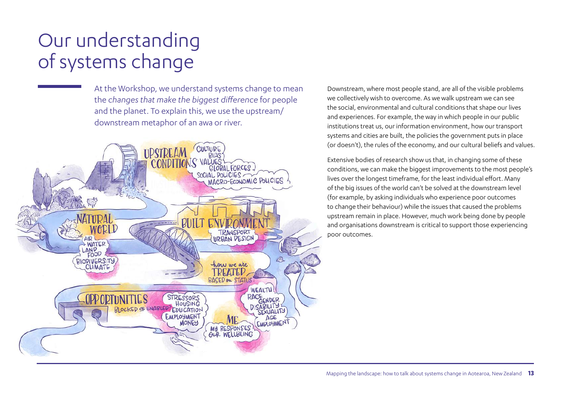# Our understanding of systems change

At the Workshop, we understand systems change to mean the *changes that make the biggest difference* for people and the planet. To explain this, we use the upstream/ downstream metaphor of an awa or river.



Downstream, where most people stand, are all of the visible problems we collectively wish to overcome. As we walk upstream we can see the social, environmental and cultural conditions that shape our lives and experiences. For example, the way in which people in our public institutions treat us, our information environment, how our transport systems and cities are built, the policies the government puts in place (or doesn't), the rules of the economy, and our cultural beliefs and values.

Extensive bodies of research show us that, in changing some of these conditions, we can make the biggest improvements to the most people's lives over the longest timeframe, for the least individual effort. Many of the big issues of the world can't be solved at the downstream level (for example, by asking individuals who experience poor outcomes to change their behaviour) while the issues that caused the problems upstream remain in place. However, much work being done by people and organisations downstream is critical to support those experiencing poor outcomes.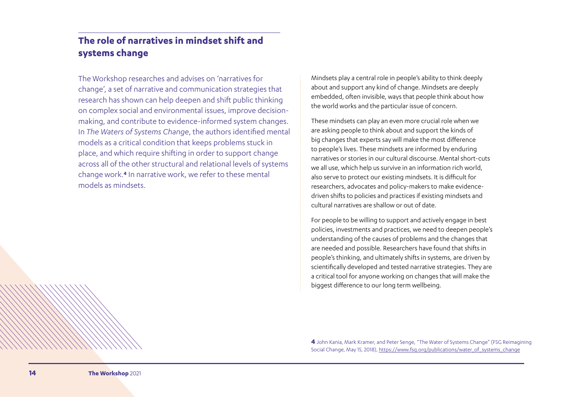## **The role of narratives in mindset shift and systems change**

The Workshop researches and advises on 'narratives for change', a set of narrative and communication strategies that research has shown can help deepen and shift public thinking on complex social and environmental issues, improve decisionmaking, and contribute to evidence-informed system changes. In *The Waters of Systems Change*, the authors identified mental models as a critical condition that keeps problems stuck in place, and which require shifting in order to support change across all of the other structural and relational levels of systems change work.**⁴** In narrative work, we refer to these mental models as mindsets.

Mindsets play a central role in people's ability to think deeply about and support any kind of change. Mindsets are deeply embedded, often invisible, ways that people think about how the world works and the particular issue of concern.

These mindsets can play an even more crucial role when we are asking people to think about and support the kinds of big changes that experts say will make the most difference to people's lives. These mindsets are informed by enduring narratives or stories in our cultural discourse. Mental short-cuts we all use, which help us survive in an information rich world, also serve to protect our existing mindsets. It is difficult for researchers, advocates and policy-makers to make evidencedriven shifts to policies and practices if existing mindsets and cultural narratives are shallow or out of date.

For people to be willing to support and actively engage in best policies, investments and practices, we need to deepen people's understanding of the causes of problems and the changes that are needed and possible. Researchers have found that shifts in people's thinking, and ultimately shifts in systems, are driven by scientifically developed and tested narrative strategies. They are a critical tool for anyone working on changes that will make the biggest difference to our long term wellbeing.

**4** John Kania, Mark Kramer, and Peter Senge, "The Water of Systems Change" (FSG Reimagining Social Change, May 15, 2018), [https://www.fsg.org/publications/water\\_of\\_systems\\_change](https://www.fsg.org/publications/water_of_systems_change)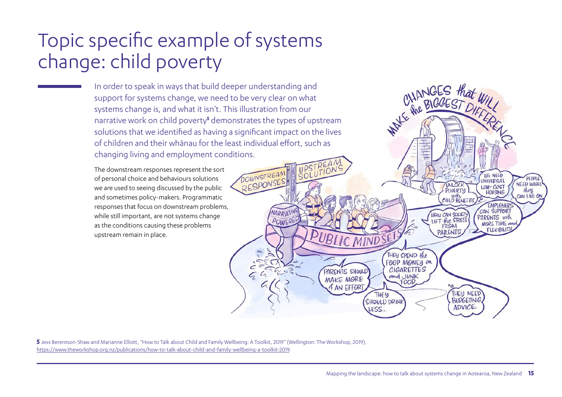# Topic specific example of systems change: child poverty

In order to speak in ways that build deeper understanding and support for systems change, we need to be very clear on what systems change is, and what it isn't. This illustration from our narrative work on child poverty<sup>5</sup> demonstrates the types of upstream solutions that we identified as having a significant impact on the lives of children and their whānau for the least individual effort, such as changing living and employment conditions.

The downstream responses represent the sort of personal choice and behaviours solutions we are used to seeing discussed by the public and sometimes policy-makers. Programmatic responses that focus on downstream problems, while still important, are not systems change as the conditions causing these problems upstream remain in place.

CHANGES that SOLUTION' DOWNSTREAM WE NEED RESPONSES **UNIVERSAL NEED WAGE** LOW-COST POVERTY they HOVSING CHILD BENEFITS CAN LIVE OF EMPLOYERS CAN SUPPORT **VARRATI HOW CAN SOCIETY** PARENTS with LIFT the STRESS POWERE **MORE TIME** and FROM **FLEXIBILITY** PARENTS BLIC MINDSE THEY SPEND the FOOD MONEY ON PARENTS SHOULD CIGARETTES and JUNK **MAKE MORE** FOOD. of AN EFFORT THEY NEED **THEY** BUDGETING. SHOULD DRINK ADVICE  $ESS...$ 

**5** Jess Berentson-Shaw and Marianne Elliott, "How to Talk about Child and Family Wellbeing: A Toolkit, 2019" (Wellington: The Workshop, 2019), [https://www.theworkshop.org.nz/publications/how-to-talk-about-child-and-family-wellbeing-a-toolkit-2019.](https://www.theworkshop.org.nz/publications/how-to-talk-about-child-and-family-wellbeing-a-toolkit-2019)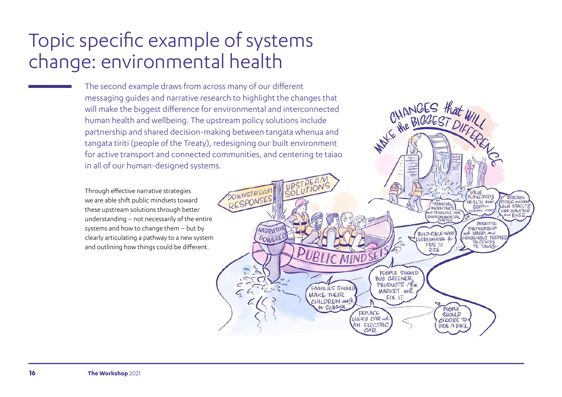# Topic specific example of systems change: environmental health

The second example draws from across many of our different messaging guides and narrative research to highlight the changes that will make the biggest difference for environmental and interconnected human health and wellbeing. The upstream policy solutions include partnership and shared decision-making between tangata whenua and tangata tiriti (people of the Treaty), redesigning our built environment for active transport and connected communities, and centering te taiao in all of our human-designed systems.

DOWNSTREAM

**DOWNSTREAMS** 

**NARRATIV** 

POWERE

 $50^{\circ}$ 

**UBLIC MIND** 

**FAMILIES SHOULD** 

CHILDREN Walk

**MAKE THEIR** 

CHANGES that

**VALVE**<br>PLANETARY

**HEALTH** over

with MAORI and

**GDP**(NEW

**PRIGRITI SE PARTNERSHIP** 

**VDIGENOUS PEOPLE** 

TO CENTRE

FINANCIAL

**INCENTIVES** 

and PENALTIES FOR

ENVIRONMENTAL

PEOPLE

SHOULD

CHOOSE TO

**RIDE A BIKE** 

**BUILD CYCLE WAYS** 

EVERYWHERE for

PEOPLE SHOULD PRODUCTS (the

MARKET will

FIX IT

REPLACE

EVERY CAR with

AN ELECTRIC

KIDS TO RIDE

**REDESIGN** 

**QUR STREETS** 

FOR WALKING

and BIKES

CITIES and OPEN

Through effective narrative strategies we are able shift public mindsets toward these upstream solutions through better understanding – not necessarily of the entire systems and how to change them – but by clearly articulating a pathway to a new system and outlining how things could be different.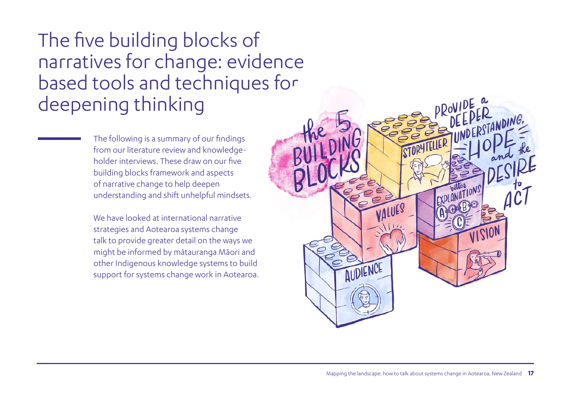# The five building blocks of narratives for change: evidence based tools and techniques for deepening thinking

The following is a summary of our findings from our literature review and knowledgeholder interviews. These draw on our five building blocks framework and aspects of narrative change to help deepen understanding and shift unhelpful mindsets.

We have looked at international narrative strategies and Aotearoa systems change talk to provide greater detail on the ways we might be informed by mātauranga Māori and other Indigenous knowledge systems to build support for systems change work in Aotearoa.

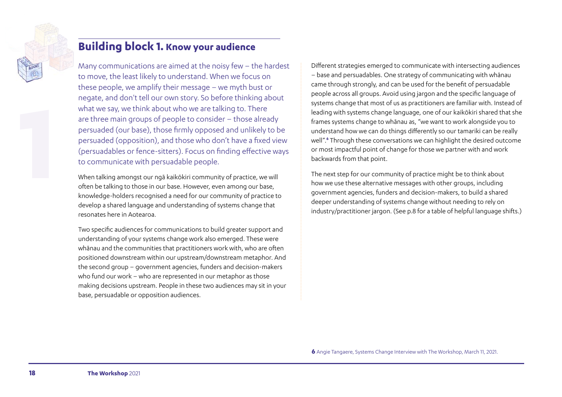

# **Building block 1. Know your audience**

Many communications are aimed at the noisy few – the hardest to move, the least likely to understand. When we focus on these people, we amplify their message – we myth bust or negate, and don't tell our own story. So before thinking about what we say, we think about who we are talking to. There are three main groups of people to consider – those already persuaded (our base), those firmly opposed and unlikely to be persuaded (opposition), and those who don't have a fixed view (persuadables or fence-sitters). Focus on finding effective ways to communicate with persuadable people.

When talking amongst our ngā kaikōkiri community of practice, we will often be talking to those in our base. However, even among our base, knowledge-holders recognised a need for our community of practice to develop a shared language and understanding of systems change that resonates here in Aotearoa.

Two specific audiences for communications to build greater support and understanding of your systems change work also emerged. These were whānau and the communities that practitioners work with, who are often positioned downstream within our upstream/downstream metaphor. And the second group – government agencies, funders and decision-makers who fund our work – who are represented in our metaphor as those making decisions upstream. People in these two audiences may sit in your base, persuadable or opposition audiences.

Different strategies emerged to communicate with intersecting audiences – base and persuadables. One strategy of communicating with whānau came through strongly, and can be used for the benefit of persuadable people across all groups. Avoid using jargon and the specific language of systems change that most of us as practitioners are familiar with. Instead of leading with systems change language, one of our kaikōkiri shared that she frames systems change to whānau as, "we want to work alongside you to understand how we can do things differently so our tamariki can be really well".**<sup>6</sup>** Through these conversations we can highlight the desired outcome or most impactful point of change for those we partner with and work backwards from that point.

The next step for our community of practice might be to think about how we use these alternative messages with other groups, including government agencies, funders and decision-makers, to build a shared deeper understanding of systems change without needing to rely on industry/practitioner jargon. (See p.8 for a table of helpful language shifts.)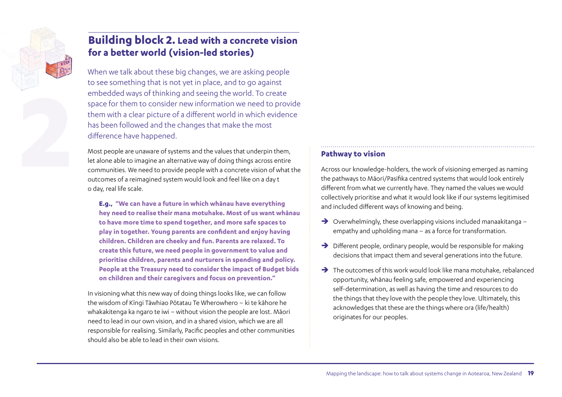

# **Building block 2. Lead with a concrete vision for a better world (vision-led stories)**

When we talk about these big changes, we are asking people to see something that is not yet in place, and to go against embedded ways of thinking and seeing the world. To create space for them to consider new information we need to provide them with a clear picture of a different world in which evidence has been followed and the changes that make the most difference have happened.

Most people are unaware of systems and the values that underpin them. let alone able to imagine an alternative way of doing things across entire communities. We need to provide people with a concrete vision of what the outcomes of a reimagined system would look and feel like on a day t o day, real life scale.

**E.g., "We can have a future in which whānau have everything hey need to realise their mana motuhake. Most of us want whānau to have more time to spend together, and more safe spaces to play in together. Young parents are confident and enjoy having children. Children are cheeky and fun. Parents are relaxed. To create this future, we need people in government to value and prioritise children, parents and nurturers in spending and policy. People at the Treasury need to consider the impact of Budget bids on children and their caregivers and focus on prevention."**

In visioning what this new way of doing things looks like, we can follow the wisdom of Kīngi Tāwhiao Pōtatau Te Wherowhero – ki te kāhore he whakakitenga ka ngaro te iwi – without vision the people are lost. Māori need to lead in our own vision, and in a shared vision, which we are all responsible for realising. Similarly, Pacific peoples and other communities should also be able to lead in their own visions.

#### **Pathway to vision**

Across our knowledge-holders, the work of visioning emerged as naming the pathways to Māori/Pasifika centred systems that would look entirely different from what we currently have. They named the values we would collectively prioritise and what it would look like if our systems legitimised and included different ways of knowing and being.

- $\rightarrow$  Overwhelmingly, these overlapping visions included manaakitanga empathy and upholding mana – as a force for transformation.
- $\rightarrow$  Different people, ordinary people, would be responsible for making decisions that impact them and several generations into the future.
- $\rightarrow$  The outcomes of this work would look like mana motuhake, rebalanced opportunity, whānau feeling safe, empowered and experiencing self-determination, as well as having the time and resources to do the things that they love with the people they love. Ultimately, this acknowledges that these are the things where ora (life/health) originates for our peoples.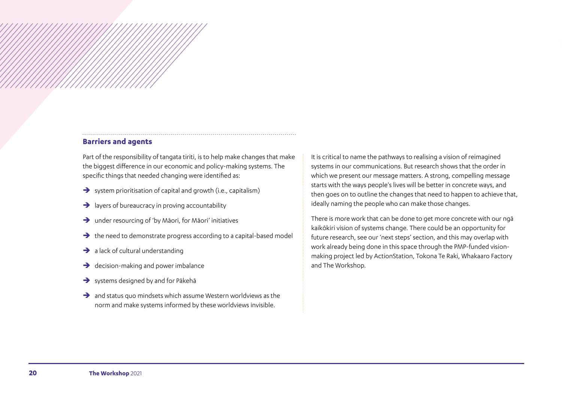#### **Barriers and agents**

Part of the responsibility of tangata tiriti, is to help make changes that make the biggest difference in our economic and policy-making systems. The specific things that needed changing were identified as:

- $\rightarrow$  system prioritisation of capital and growth (i.e., capitalism)
- $\rightarrow$  layers of bureaucracy in proving accountability
- $\rightarrow$  under resourcing of 'by Māori, for Māori' initiatives
- $\rightarrow$  the need to demonstrate progress according to a capital-based model
- $\rightarrow$  a lack of cultural understanding
- $\rightarrow$  decision-making and power imbalance
- $\rightarrow$  systems designed by and for Pākehā
- $\rightarrow$  and status quo mindsets which assume Western worldviews as the norm and make systems informed by these worldviews invisible.

It is critical to name the pathways to realising a vision of reimagined systems in our communications. But research shows that the order in which we present our message matters. A strong, compelling message starts with the ways people's lives will be better in concrete ways, and then goes on to outline the changes that need to happen to achieve that, ideally naming the people who can make those changes.

There is more work that can be done to get more concrete with our ngā kaikōkiri vision of systems change. There could be an opportunity for future research, see our 'next steps' section, and this may overlap with work already being done in this space through the PMP-funded visionmaking project led by ActionStation, Tokona Te Raki, Whakaaro Factory and The Workshop.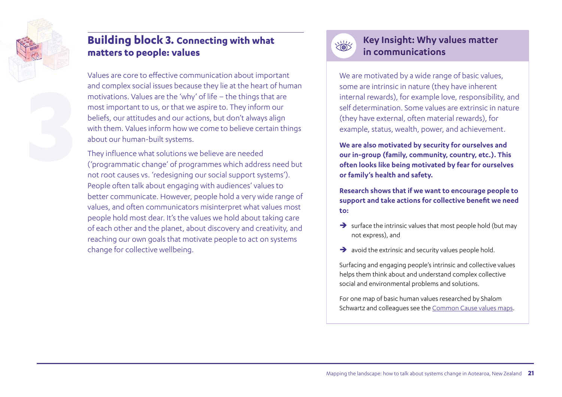

# **Building block 3. Connecting with what matters to people: values**

Values are core to effective communication about important and complex social issues because they lie at the heart of human motivations. Values are the 'why' of life – the things that are most important to us, or that we aspire to. They inform our beliefs, our attitudes and our actions, but don't always align with them. Values inform how we come to believe certain things about our human-built systems.

They influence what solutions we believe are needed ('programmatic change' of programmes which address need but not root causes vs. 'redesigning our social support systems'). People often talk about engaging with audiences' values to better communicate. However, people hold a very wide range of values, and often communicators misinterpret what values most people hold most dear. It's the values we hold about taking care of each other and the planet, about discovery and creativity, and reaching our own goals that motivate people to act on systems change for collective wellbeing.



## **Key Insight: Why values matter in communications**

We are motivated by a wide range of basic values, some are intrinsic in nature (they have inherent internal rewards), for example love, responsibility, and self determination. Some values are extrinsic in nature (they have external, often material rewards), for example, status, wealth, power, and achievement.

**We are also motivated by security for ourselves and our in-group (family, community, country, etc.). This often looks like being motivated by fear for ourselves or family's health and safety.**

**Research shows that if we want to encourage people to support and take actions for collective benefit we need to:** 

- $\rightarrow$  surface the intrinsic values that most people hold (but may not express), and
- $\rightarrow$  avoid the extrinsic and security values people hold.

Surfacing and engaging people's intrinsic and collective values helps them think about and understand complex collective social and environmental problems and solutions.

For one map of basic human values researched by Shalom Schwartz and colleagues see the [Common Cause values maps](http://www.commoncause.com.au/uploads/1/2/9/4/12943361/common_cause_handbook.pdf).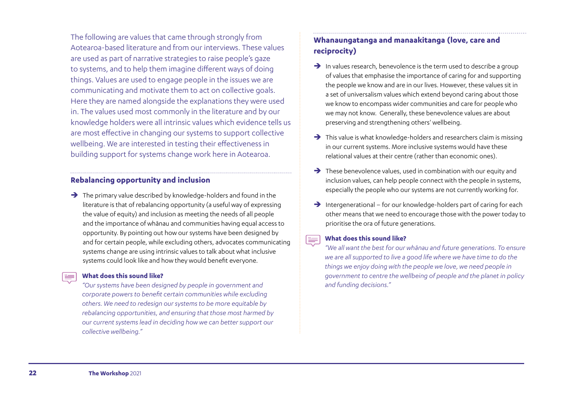The following are values that came through strongly from Aotearoa-based literature and from our interviews. These values are used as part of narrative strategies to raise people's gaze to systems, and to help them imagine different ways of doing things. Values are used to engage people in the issues we are communicating and motivate them to act on collective goals. Here they are named alongside the explanations they were used in. The values used most commonly in the literature and by our knowledge holders were all intrinsic values which evidence tells us are most effective in changing our systems to support collective wellbeing. We are interested in testing their effectiveness in building support for systems change work here in Aotearoa.

#### **Rebalancing opportunity and inclusion**

 $\rightarrow$  The primary value described by knowledge-holders and found in the literature is that of rebalancing opportunity (a useful way of expressing the value of equity) and inclusion as meeting the needs of all people and the importance of whānau and communities having equal access to opportunity. By pointing out how our systems have been designed by and for certain people, while excluding others, advocates communicating systems change are using intrinsic values to talk about what inclusive systems could look like and how they would benefit everyone.

#### **What does this sound like?**

*"Our systems have been designed by people in government and corporate powers to benefit certain communities while excluding others. We need to redesign our systems to be more equitable by rebalancing opportunities, and ensuring that those most harmed by our current systems lead in deciding how we can better support our collective wellbeing."*

## **Whanaungatanga and manaakitanga (love, care and reciprocity)**

- $\rightarrow$  In values research, benevolence is the term used to describe a group of values that emphasise the importance of caring for and supporting the people we know and are in our lives. However, these values sit in a set of universalism values which extend beyond caring about those we know to encompass wider communities and care for people who we may not know. Generally, these benevolence values are about preserving and strengthening others' wellbeing.
- $\rightarrow$  This value is what knowledge-holders and researchers claim is missing in our current systems. More inclusive systems would have these relational values at their centre (rather than economic ones).
- $\rightarrow$  These benevolence values, used in combination with our equity and inclusion values, can help people connect with the people in systems, especially the people who our systems are not currently working for.
- $\rightarrow$  Intergenerational for our knowledge-holders part of caring for each other means that we need to encourage those with the power today to prioritise the ora of future generations.

#### **What does this sound like?**  $\equiv$

*"We all want the best for our whānau and future generations. To ensure we are all supported to live a good life where we have time to do the things we enjoy doing with the people we love, we need people in government to centre the wellbeing of people and the planet in policy and funding decisions."*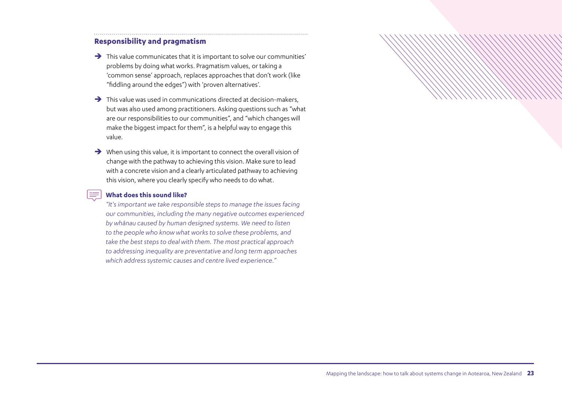#### **Responsibility and pragmatism**

- $\rightarrow$  This value communicates that it is important to solve our communities' problems by doing what works. Pragmatism values, or taking a 'common sense' approach, replaces approaches that don't work (like "fiddling around the edges") with 'proven alternatives'.
- $\rightarrow$  This value was used in communications directed at decision-makers, but was also used among practitioners. Asking questions such as "what are our responsibilities to our communities", and "which changes will make the biggest impact for them", is a helpful way to engage this value.
- $\rightarrow$  When using this value, it is important to connect the overall vision of change with the pathway to achieving this vision. Make sure to lead with a concrete vision and a clearly articulated pathway to achieving this vision, where you clearly specify who needs to do what.

#### $\equiv$ **What does this sound like?**

*"It's important we take responsible steps to manage the issues facing our communities, including the many negative outcomes experienced by whānau caused by human designed systems. We need to listen to the people who know what works to solve these problems, and take the best steps to deal with them. The most practical approach to addressing inequality are preventative and long term approaches which address systemic causes and centre lived experience."*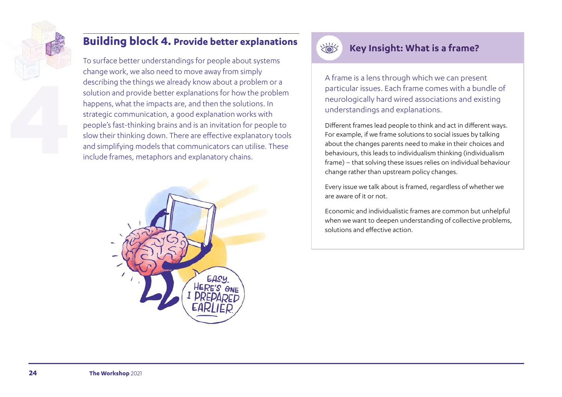

# **Building block 4. Provide better explanations**

To surface better understandings for people about systems change work, we also need to move away from simply describing the things we already know about a problem or a solution and provide better explanations for how the problem happens, what the impacts are, and then the solutions. In strategic communication, a good explanation works with people's fast-thinking brains and is an invitation for people to slow their thinking down. There are effective explanatory tools and simplifying models that communicators can utilise. These include frames, metaphors and explanatory chains.





## **Key Insight: What is a frame?**

A frame is a lens through which we can present particular issues. Each frame comes with a bundle of neurologically hard wired associations and existing understandings and explanations.

Different frames lead people to think and act in different ways. For example, if we frame solutions to social issues by talking about the changes parents need to make in their choices and behaviours, this leads to individualism thinking (individualism frame) – that solving these issues relies on individual behaviour change rather than upstream policy changes.

Every issue we talk about is framed, regardless of whether we are aware of it or not.

Economic and individualistic frames are common but unhelpful when we want to deepen understanding of collective problems, solutions and effective action.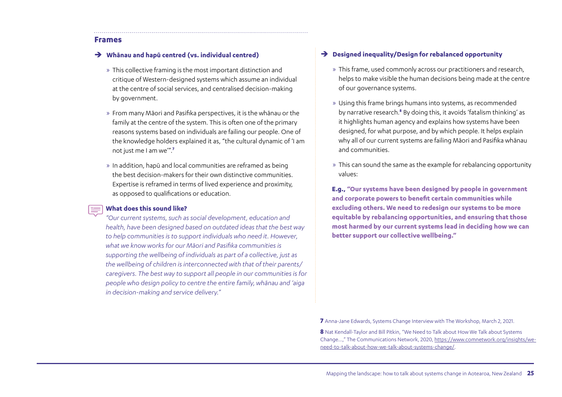#### **Frames**

#### Î **Whānau and hapū centred (vs. individual centred)**

- » This collective framing is the most important distinction and critique of Western-designed systems which assume an individual at the centre of social services, and centralised decision-making by government.
- » From many Māori and Pasifika perspectives, it is the whānau or the family at the centre of the system. This is often one of the primary reasons systems based on individuals are failing our people. One of the knowledge holders explained it as, "the cultural dynamic of 'I am not just me I am we'".**<sup>7</sup>**
- » In addition, hapū and local communities are reframed as being the best decision-makers for their own distinctive communities. Expertise is reframed in terms of lived experience and proximity, as opposed to qualifications or education.

#### **What does this sound like?**

*"Our current systems, such as social development, education and health, have been designed based on outdated ideas that the best way to help communities is to support individuals who need it. However, what we know works for our Māori and Pasifika communities is supporting the wellbeing of individuals as part of a collective, just as the wellbeing of children is interconnected with that of their parents/ caregivers. The best way to support all people in our communities is for people who design policy to centre the entire family, whānau and 'aiga in decision-making and service delivery."*

#### <sup>2</sup> Designed inequality/Design for rebalanced opportunity

- » This frame, used commonly across our practitioners and research, helps to make visible the human decisions being made at the centre of our governance systems.
- » Using this frame brings humans into systems, as recommended by narrative research.**8** By doing this, it avoids 'fatalism thinking' as it highlights human agency and explains how systems have been designed, for what purpose, and by which people. It helps explain why all of our current systems are failing Māori and Pasifika whānau and communities.
- » This can sound the same as the example for rebalancing opportunity values:

**E.g., "Our systems have been designed by people in government and corporate powers to benefit certain communities while excluding others. We need to redesign our systems to be more equitable by rebalancing opportunities, and ensuring that those most harmed by our current systems lead in deciding how we can better support our collective wellbeing."**

**7** Anna-Jane Edwards, Systems Change Interview with The Workshop, March 2, 2021.

**8** Nat Kendall-Taylor and Bill Pitkin, "We Need to Talk about How We Talk about Systems Change…," The Communications Network, 2020, [https://www.comnetwork.org/insights/we](https://www.comnetwork.org/insights/we-need-to-talk-about-how-we-talk-about-systems-change/)[need-to-talk-about-how-we-talk-about-systems-change/.](https://www.comnetwork.org/insights/we-need-to-talk-about-how-we-talk-about-systems-change/)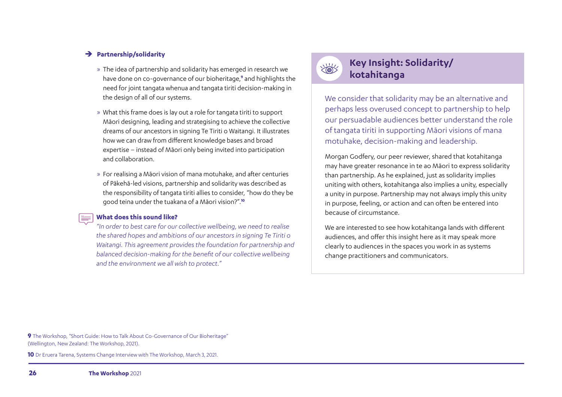#### Î **Partnership/solidarity**

- » The idea of partnership and solidarity has emerged in research we have done on co-governance of our bioheritage,**<sup>9</sup>** and highlights the need for joint tangata whenua and tangata tiriti decision-making in the design of all of our systems.
- » What this frame does is lay out a role for tangata tiriti to support Māori designing, leading and strategising to achieve the collective dreams of our ancestors in signing Te Tiriti o Waitangi. It illustrates how we can draw from different knowledge bases and broad expertise – instead of Māori only being invited into participation and collaboration.
- » For realising a Māori vision of mana motuhake, and after centuries of Pākehā-led visions, partnership and solidarity was described as the responsibility of tangata tiriti allies to consider, "how do they be good teina under the tuakana of a Māori vision?".**<sup>10</sup>**

#### **What does this sound like?**

*"In order to best care for our collective wellbeing, we need to realise the shared hopes and ambitions of our ancestors in signing Te Tiriti o Waitangi. This agreement provides the foundation for partnership and balanced decision-making for the benefit of our collective wellbeing and the environment we all wish to protect."*

#### **Key Insight: Solidarity/**  $\frac{1}{2}$ **kotahitanga**

We consider that solidarity may be an alternative and perhaps less overused concept to partnership to help our persuadable audiences better understand the role of tangata tiriti in supporting Māori visions of mana motuhake, decision-making and leadership.

Morgan Godfery, our peer reviewer, shared that kotahitanga may have greater resonance in te ao Māori to express solidarity than partnership. As he explained, just as solidarity implies uniting with others, kotahitanga also implies a unity, especially a unity in purpose. Partnership may not always imply this unity in purpose, feeling, or action and can often be entered into because of circumstance.

We are interested to see how kotahitanga lands with different audiences, and offer this insight here as it may speak more clearly to audiences in the spaces you work in as systems change practitioners and communicators.

**9** The Workshop, "Short Guide: How to Talk About Co-Governance of Our Bioheritage" (Wellington, New Zealand: The Workshop, 2021).

**10** Dr Eruera Tarena, Systems Change Interview with The Workshop, March 3, 2021.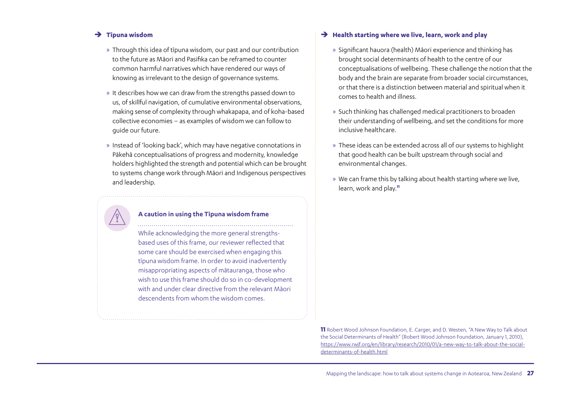#### $\rightarrow$  Tipuna wisdom

- » Through this idea of tīpuna wisdom, our past and our contribution to the future as Māori and Pasifika can be reframed to counter common harmful narratives which have rendered our ways of knowing as irrelevant to the design of governance systems.
- » It describes how we can draw from the strengths passed down to us, of skillful navigation, of cumulative environmental observations, making sense of complexity through whakapapa, and of koha-based collective economies – as examples of wisdom we can follow to guide our future.
- » Instead of 'looking back', which may have negative connotations in Pākehā conceptualisations of progress and modernity, knowledge holders highlighted the strength and potential which can be brought to systems change work through Māori and Indigenous perspectives and leadership.

#### **A caution in using the Tīpuna wisdom frame**

While acknowledging the more general strengthsbased uses of this frame, our reviewer reflected that some care should be exercised when engaging this tīpuna wisdom frame. In order to avoid inadvertently misappropriating aspects of mātauranga, those who wish to use this frame should do so in co-development with and under clear directive from the relevant Māori descendents from whom the wisdom comes.

#### $\rightarrow$  Health starting where we live, learn, work and play

- » Significant hauora (health) Māori experience and thinking has brought social determinants of health to the centre of our conceptualisations of wellbeing. These challenge the notion that the body and the brain are separate from broader social circumstances, or that there is a distinction between material and spiritual when it comes to health and illness.
- » Such thinking has challenged medical practitioners to broaden their understanding of wellbeing, and set the conditions for more inclusive healthcare.
- » These ideas can be extended across all of our systems to highlight that good health can be built upstream through social and environmental changes.
- » We can frame this by talking about health starting where we live, learn, work and play.**<sup>11</sup>**

**11** Robert Wood Johnson Foundation, E. Carger, and D. Westen, "A New Way to Talk about the Social Determinants of Health" (Robert Wood Johnson Foundation, January 1, 2010), [https://www.rwjf.org/en/library/research/2010/01/a-new-way-to-talk-about-the-social](https://www.rwjf.org/en/library/research/2010/01/a-new-way-to-talk-about-the-social-determinants-of-health.html)[determinants-of-health.html](https://www.rwjf.org/en/library/research/2010/01/a-new-way-to-talk-about-the-social-determinants-of-health.html)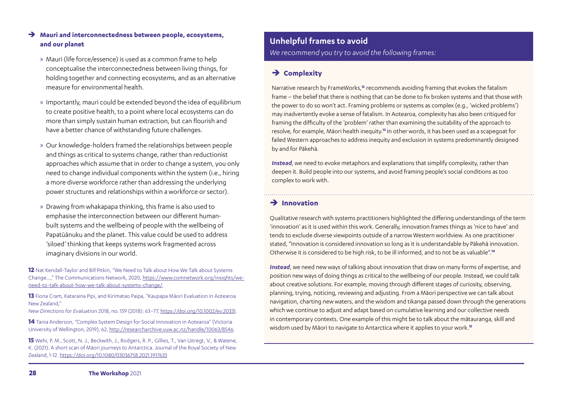#### → Mauri and interconnectedness between people, ecosystems, **and our planet**

- » Mauri (life force/essence) is used as a common frame to help conceptualise the interconnectedness between living things, for holding together and connecting ecosystems, and as an alternative measure for environmental health.
- » Importantly, mauri could be extended beyond the idea of equilibrium to create positive health, to a point where local ecosystems can do more than simply sustain human extraction, but can flourish and have a better chance of withstanding future challenges.
- » Our knowledge-holders framed the relationships between people and things as critical to systems change, rather than reductionist approaches which assume that in order to change a system, you only need to change individual components within the system (i.e., hiring a more diverse workforce rather than addressing the underlying power structures and relationships within a workforce or sector).
- » Drawing from whakapapa thinking, this frame is also used to emphasise the interconnection between our different humanbuilt systems and the wellbeing of people with the wellbeing of Papatūānuku and the planet. This value could be used to address 'siloed' thinking that keeps systems work fragmented across imaginary divisions in our world.

**12** Nat Kendall-Taylor and Bill Pitkin, "We Need to Talk about How We Talk about Systems Change…," The Communications Network, 2020, [https://www.comnetwork.org/insights/we](https://www.comnetwork.org/insights/we-need-to-talk-about-how-we-talk-about-systems-change/)[need-to-talk-about-how-we-talk-about-systems-change/](https://www.comnetwork.org/insights/we-need-to-talk-about-how-we-talk-about-systems-change/).

**13** Fiona Cram, Kataraina Pipi, and Kirimatao Paipa, "Kaupapa Māori Evaluation in Aotearoa New Zealand"

*New Directions for Evaluation* 2018, no. 159 (2018): 63–77,<https://doi.org/10.1002/ev.20331>.

**14** Tania Anderson, "Complex System Design for Social Innovation in Aotearoa" (Victoria University of Wellington, 2019), 62, [http://researcharchive.vuw.ac.nz/handle/10063/8546.](http://researcharchive.vuw.ac.nz/handle/10063/8546)

**15** Wehi, P. M., Scott, N. J., Beckwith, J., Rodgers, R. P., Gillies, T., Van Uitregt, V., & Watene, K. (2021). A short scan of Māori journeys to Antarctica. Journal of the Royal Society of New Zealand, 1-12. <https://doi.org/10.1080/03036758.2021.1917633>

## **Unhelpful frames to avoid**

*We recommend you try to avoid the following frames:*

#### $\rightarrow$  Complexity

Narrative research by FrameWorks,**12** recommends avoiding framing that evokes the fatalism frame – the belief that there is nothing that can be done to fix broken systems and that those with the power to do so won't act. Framing problems or systems as complex (e.g., 'wicked problems') may inadvertently evoke a sense of fatalism. In Aotearoa, complexity has also been critiqued for framing the difficulty of the 'problem' rather than examining the suitability of the approach to resolve, for example, Māori health inequity.**13** In other words, it has been used as a scapegoat for failed Western approaches to address inequity and exclusion in systems predominantly designed by and for Pākehā.

*Instead*, we need to evoke metaphors and explanations that simplify complexity, rather than deepen it. Build people into our systems, and avoid framing people's social conditions as too complex to work with.

#### $\rightarrow$  Innovation

Qualitative research with systems practitioners highlighted the differing understandings of the term 'innovation' as it is used within this work. Generally, innovation frames things as 'nice to have' and tends to exclude diverse viewpoints outside of a narrow Western worldview. As one practitioner stated, "Innovation is considered innovation so long as it is understandable by Pākehā innovation. Otherwise it is considered to be high risk, to be ill informed, and to not be as valuable".**<sup>14</sup>**

*Instead*, we need new ways of talking about innovation that draw on many forms of expertise, and position new ways of doing things as critical to the wellbeing of our people. Instead, we could talk about creative solutions. For example, moving through different stages of curiosity, observing, planning, trying, noticing, reviewing and adjusting. From a Māori perspective we can talk about navigation, charting new waters, and the wisdom and tikanga passed down through the generations which we continue to adjust and adapt based on cumulative learning and our collective needs in contemporary contexts. One example of this might be to talk about the mātauranga, skill and wisdom used by Māori to navigate to Antarctica where it applies to your work.**15**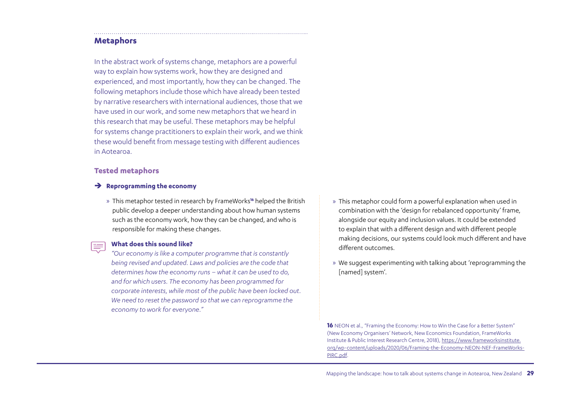#### **Metaphors**

In the abstract work of systems change, metaphors are a powerful way to explain how systems work, how they are designed and experienced, and most importantly, how they can be changed. The following metaphors include those which have already been tested by narrative researchers with international audiences, those that we have used in our work, and some new metaphors that we heard in this research that may be useful. These metaphors may be helpful for systems change practitioners to explain their work, and we think these would benefit from message testing with different audiences in Aotearoa.

#### **Tested metaphors**

 $rac{cc}{\sqrt{c}}$ 

#### $\rightarrow$  Reprogramming the economy

» This metaphor tested in research by FrameWorks**16** helped the British public develop a deeper understanding about how human systems such as the economy work, how they can be changed, and who is responsible for making these changes.

#### **What does this sound like?**

*"Our economy is like a computer programme that is constantly being revised and updated. Laws and policies are the code that determines how the economy runs – what it can be used to do, and for which users. The economy has been programmed for corporate interests, while most of the public have been locked out. We need to reset the password so that we can reprogramme the economy to work for everyone."*

- » This metaphor could form a powerful explanation when used in combination with the 'design for rebalanced opportunity' frame, alongside our equity and inclusion values. It could be extended to explain that with a different design and with different people making decisions, our systems could look much different and have different outcomes.
- » We suggest experimenting with talking about 'reprogramming the [named] system'.

**16** NEON et al., "Framing the Economy: How to Win the Case for a Better System" (New Economy Organisers' Network, New Economics Foundation, FrameWorks Institute & Public Interest Research Centre, 2018), [https://www.frameworksinstitute.](https://www.frameworksinstitute.org/wp-content/uploads/2020/06/Framing-the-Economy-NEON-NEF-FrameWorks-PIRC.pdf) [org/wp-content/uploads/2020/06/Framing-the-Economy-NEON-NEF-FrameWorks-](https://www.frameworksinstitute.org/wp-content/uploads/2020/06/Framing-the-Economy-NEON-NEF-FrameWorks-PIRC.pdf)[PIRC.pdf.](https://www.frameworksinstitute.org/wp-content/uploads/2020/06/Framing-the-Economy-NEON-NEF-FrameWorks-PIRC.pdf)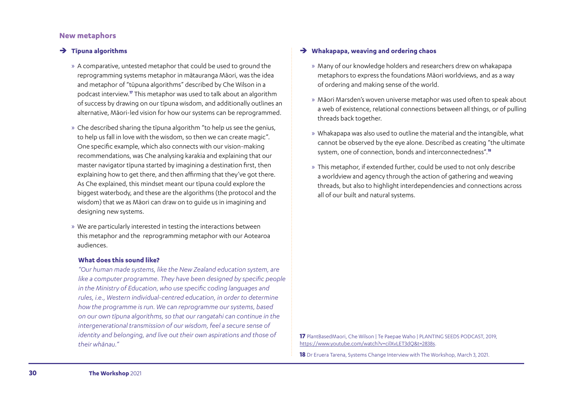#### **New metaphors**

#### $\rightarrow$  Tīpuna algorithms

- » A comparative, untested metaphor that could be used to ground the reprogramming systems metaphor in mātauranga Māori, was the idea and metaphor of "tūpuna algorithms" described by Che Wilson in a podcast interview.**17** This metaphor was used to talk about an algorithm of success by drawing on our tīpuna wisdom, and additionally outlines an alternative, Māori-led vision for how our systems can be reprogrammed.
- » Che described sharing the tīpuna algorithm "to help us see the genius, to help us fall in love with the wisdom, so then we can create magic". One specific example, which also connects with our vision-making recommendations, was Che analysing karakia and explaining that our master navigator tīpuna started by imagining a destination first, then explaining how to get there, and then affirming that they've got there. As Che explained, this mindset meant our tīpuna could explore the biggest waterbody, and these are the algorithms (the protocol and the wisdom) that we as Māori can draw on to guide us in imagining and designing new systems.
- » We are particularly interested in testing the interactions between this metaphor and the reprogramming metaphor with our Aotearoa audiences.

#### **What does this sound like?**

*"Our human made systems, like the New Zealand education system, are like a computer programme. They have been designed by specific people in the Ministry of Education, who use specific coding languages and rules, i.e., Western individual-centred education, in order to determine how the programme is run. We can reprogramme our systems, based on our own tīpuna algorithms, so that our rangatahi can continue in the intergenerational transmission of our wisdom, feel a secure sense of identity and belonging, and live out their own aspirations and those of their whānau."*

#### $\rightarrow$  Whakapapa, weaving and ordering chaos

- » Many of our knowledge holders and researchers drew on whakapapa metaphors to express the foundations Māori worldviews, and as a way of ordering and making sense of the world.
- » Māori Marsden's woven universe metaphor was used often to speak about a web of existence, relational connections between all things, or of pulling threads back together.
- » Whakapapa was also used to outline the material and the intangible, what cannot be observed by the eye alone. Described as creating "the ultimate system, one of connection, bonds and interconnectedness".**<sup>18</sup>**
- » This metaphor, if extended further, could be used to not only describe a worldview and agency through the action of gathering and weaving threads, but also to highlight interdependencies and connections across all of our built and natural systems.

**17** PlantBasedMaori, Che Wilson | Te Paepae Waho | PLANTING SEEDS PODCAST, 2019, [https://www.youtube.com/watch?v=cilXvLET3dQ&t=2838s.](https://www.youtube.com/watch?v=cilXvLET3dQ&t=2838s)

**18** Dr Eruera Tarena, Systems Change Interview with The Workshop, March 3, 2021.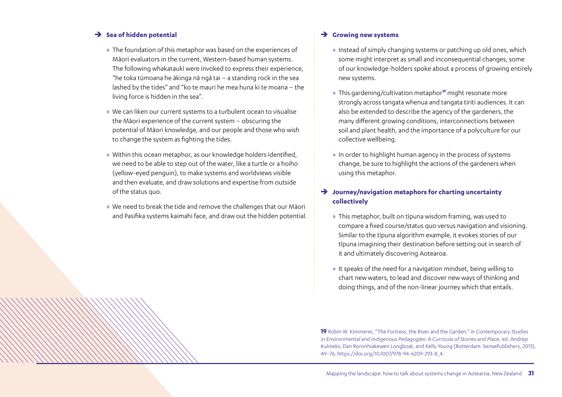#### $\rightarrow$  Sea of hidden potential

- » The foundation of this metaphor was based on the experiences of Māori evaluators in the current, Western-based human systems. The following whakataukī were invoked to express their experience, "he toka tūmoana he ākinga nā ngā tai – a standing rock in the sea lashed by the tides" and "ko te mauri he mea huna ki te moana – the living force is hidden in the sea".
- » We can liken our current systems to a turbulent ocean to visualise the Māori experience of the current system – obscuring the potential of Māori knowledge, and our people and those who wish to change the system as fighting the tides.
- » Within this ocean metaphor, as our knowledge holders identified, we need to be able to step out of the water, like a turtle or a hoiho (yellow-eyed penguin), to make systems and worldviews visible and then evaluate, and draw solutions and expertise from outside of the status quo.
- » We need to break the tide and remove the challenges that our Māori and Pasifika systems kaimahi face, and draw out the hidden potential.

#### Î **Growing new systems**

- » Instead of simply changing systems or patching up old ones, which some might interpret as small and inconsequential changes, some of our knowledge-holders spoke about a process of growing entirely new systems.
- » This gardening/cultivation metaphor**19** might resonate more strongly across tangata whenua and tangata tiriti audiences. It can also be extended to describe the agency of the gardeners, the many different growing conditions, interconnections between soil and plant health, and the importance of a polyculture for our collective wellbeing.
- » In order to highlight human agency in the process of systems change, be sure to highlight the actions of the gardeners when using this metaphor.

#### Î **Journey/navigation metaphors for charting uncertainty collectively**

- » This metaphor, built on tīpuna wisdom framing, was used to compare a fixed course/status quo versus navigation and visioning. Similar to the tīpuna algorithm example, it evokes stories of our tīpuna imagining their destination before setting out in search of it and ultimately discovering Aotearoa.
- » It speaks of the need for a navigation mindset, being willing to chart new waters, to lead and discover new ways of thinking and doing things, and of the non-linear journey which that entails.

**19** Robin W. Kimmerer, "The Fortress, the River and the Garden," in *Contemporary Studies in Environmental and Indigenous Pedagogies: A Curricula of Stories and Place*, ed. Andrejs Kulnieks, Dan Roronhiakewen Longboat, and Kelly Young (Rotterdam: SensePublishers, 2013), 49–76, https://doi.org/10.1007/978-94-6209-293-8\_4.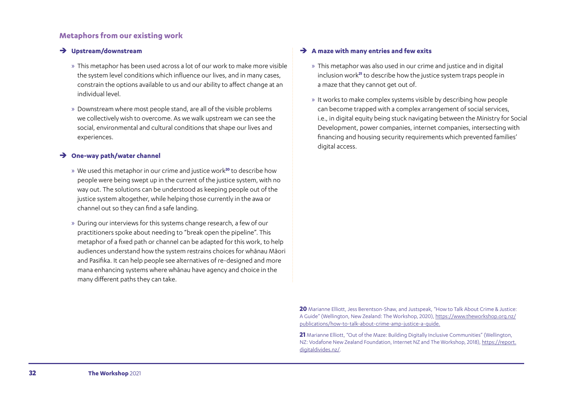#### **Metaphors from our existing work**

#### Î **Upstream/downstream**

- » This metaphor has been used across a lot of our work to make more visible the system level conditions which influence our lives, and in many cases, constrain the options available to us and our ability to affect change at an individual level.
- » Downstream where most people stand, are all of the visible problems we collectively wish to overcome. As we walk upstream we can see the social, environmental and cultural conditions that shape our lives and experiences.

#### $\rightarrow$  One-way path/water channel

- » We used this metaphor in our crime and justice work**20** to describe how people were being swept up in the current of the justice system, with no way out. The solutions can be understood as keeping people out of the justice system altogether, while helping those currently in the awa or channel out so they can find a safe landing.
- » During our interviews for this systems change research, a few of our practitioners spoke about needing to "break open the pipeline". This metaphor of a fixed path or channel can be adapted for this work, to help audiences understand how the system restrains choices for whānau Māori and Pasifika. It can help people see alternatives of re-designed and more mana enhancing systems where whānau have agency and choice in the many different paths they can take.

#### $\rightarrow$  A maze with many entries and few exits

- » This metaphor was also used in our crime and justice and in digital inclusion work**21** to describe how the justice system traps people in a maze that they cannot get out of.
- » It works to make complex systems visible by describing how people can become trapped with a complex arrangement of social services, i.e., in digital equity being stuck navigating between the Ministry for Social Development, power companies, internet companies, intersecting with financing and housing security requirements which prevented families' digital access.

**20** Marianne Elliott, Jess Berentson-Shaw, and Justspeak, "How to Talk About Crime & Justice: A Guide" (Wellington, New Zealand: The Workshop, 2020), [https://www.theworkshop.org.nz/](https://www.theworkshop.org.nz/publications/how-to-talk-about-crime-amp-justice-a-guide) [publications/how-to-talk-about-crime-amp-justice-a-guide.](https://www.theworkshop.org.nz/publications/how-to-talk-about-crime-amp-justice-a-guide)

**21** Marianne Elliott, "Out of the Maze: Building Digitally Inclusive Communities" (Wellington, NZ: Vodafone New Zealand Foundation, Internet NZ and The Workshop, 2018), [https://report.](https://report.digitaldivides.nz/) [digitaldivides.nz/.](https://report.digitaldivides.nz/)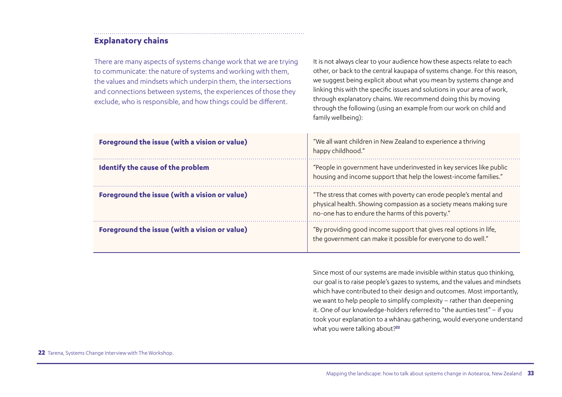#### **Explanatory chains**

There are many aspects of systems change work that we are trying to communicate: the nature of systems and working with them, the values and mindsets which underpin them, the intersections and connections between systems, the experiences of those they exclude, who is responsible, and how things could be different.

It is not always clear to your audience how these aspects relate to each other, or back to the central kaupapa of systems change. For this reason, we suggest being explicit about what you mean by systems change and linking this with the specific issues and solutions in your area of work, through explanatory chains. We recommend doing this by moving through the following (using an example from our work on child and family wellbeing):

| Foreground the issue (with a vision or value) | "We all want children in New Zealand to experience a thriving<br>happy childhood."                                                                                                          |
|-----------------------------------------------|---------------------------------------------------------------------------------------------------------------------------------------------------------------------------------------------|
| Identify the cause of the problem             | "People in government have underinvested in key services like public<br>housing and income support that help the lowest-income families."                                                   |
| Foreground the issue (with a vision or value) | "The stress that comes with poverty can erode people's mental and<br>physical health. Showing compassion as a society means making sure<br>no-one has to endure the harms of this poverty." |
| Foreground the issue (with a vision or value) | "By providing good income support that gives real options in life,<br>the government can make it possible for everyone to do well."                                                         |

Since most of our systems are made invisible within status quo thinking, our goal is to raise people's gazes to systems, and the values and mindsets which have contributed to their design and outcomes. Most importantly, we want to help people to simplify complexity – rather than deepening it. One of our knowledge-holders referred to "the aunties test" – if you took your explanation to a whānau gathering, would everyone understand what you were talking about?**<sup>22</sup>**

**22** Tarena, Systems Change Interview with The Workshop.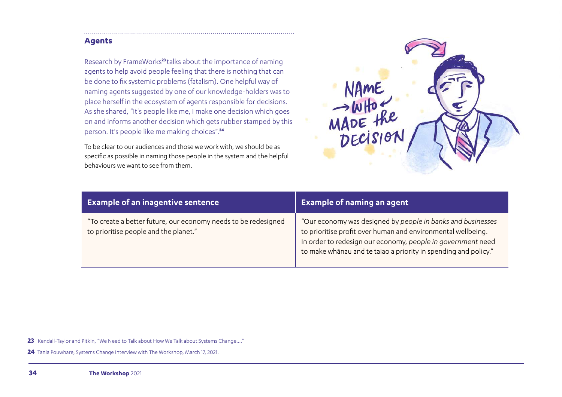#### **Agents**

Research by FrameWorks**23** talks about the importance of naming agents to help avoid people feeling that there is nothing that can be done to fix systemic problems (fatalism). One helpful way of naming agents suggested by one of our knowledge-holders was to place herself in the ecosystem of agents responsible for decisions. As she shared, "It's people like me, I make one decision which goes on and informs another decision which gets rubber stamped by this person. It's people like me making choices".**<sup>24</sup>**

To be clear to our audiences and those we work with, we should be as specific as possible in naming those people in the system and the helpful behaviours we want to see from them.



| <b>Example of an inagentive sentence</b>                                                                | <b>Example of naming an agent</b>                                                                                                                                                                                                                             |
|---------------------------------------------------------------------------------------------------------|---------------------------------------------------------------------------------------------------------------------------------------------------------------------------------------------------------------------------------------------------------------|
| "To create a better future, our economy needs to be redesigned<br>to prioritise people and the planet." | "Our economy was designed by people in banks and businesses<br>to prioritise profit over human and environmental wellbeing.<br>In order to redesign our economy, people in government need<br>to make whanau and te taiao a priority in spending and policy." |

**23** Kendall-Taylor and Pitkin, "We Need to Talk about How We Talk about Systems Change…."

**24** Tania Pouwhare, Systems Change Interview with The Workshop, March 17, 2021.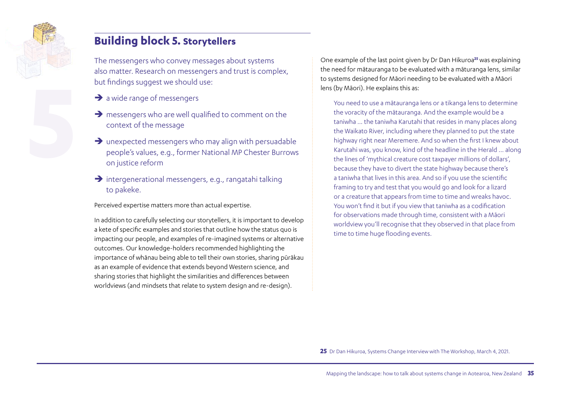

# **Building block 5. Storytellers**

The messengers who convey messages about systems also matter. Research on messengers and trust is complex, but findings suggest we should use:

- $\rightarrow$  a wide range of messengers
- $\rightarrow$  messengers who are well qualified to comment on the context of the message
- $\rightarrow$  unexpected messengers who may align with persuadable people's values, e.g., former National MP Chester Burrows on justice reform
- $\rightarrow$  intergenerational messengers, e.g., rangatahi talking to pakeke.

Perceived expertise matters more than actual expertise.

In addition to carefully selecting our storytellers, it is important to develop a kete of specific examples and stories that outline how the status quo is impacting our people, and examples of re-imagined systems or alternative outcomes. Our knowledge-holders recommended highlighting the importance of whānau being able to tell their own stories, sharing pūrākau as an example of evidence that extends beyond Western science, and sharing stories that highlight the similarities and differences between worldviews (and mindsets that relate to system design and re-design).

One example of the last point given by Dr Dan Hikuroa**25** was explaining the need for mātauranga to be evaluated with a māturanga lens, similar to systems designed for Māori needing to be evaluated with a Māori lens (by Māori). He explains this as:

You need to use a mātauranga lens or a tikanga lens to determine the voracity of the mātauranga. And the example would be a taniwha … the taniwha Karutahi that resides in many places along the Waikato River, including where they planned to put the state highway right near Meremere. And so when the first I knew about Karutahi was, you know, kind of the headline in the Herald … along the lines of 'mythical creature cost taxpayer millions of dollars', because they have to divert the state highway because there's a taniwha that lives in this area. And so if you use the scientific framing to try and test that you would go and look for a lizard or a creature that appears from time to time and wreaks havoc. You won't find it but if you view that taniwha as a codification for observations made through time, consistent with a Māori worldview you'll recognise that they observed in that place from time to time huge flooding events.

**25** Dr Dan Hikuroa, Systems Change Interview with The Workshop, March 4, 2021.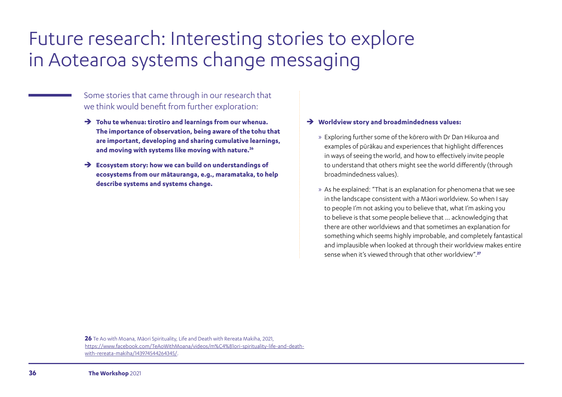# Future research: Interesting stories to explore in Aotearoa systems change messaging

- Some stories that came through in our research that we think would benefit from further exploration:
- $\rightarrow$  Tohu te whenua: tirotiro and learnings from our whenua. **The importance of observation, being aware of the tohu that are important, developing and sharing cumulative learnings, and moving with systems like moving with nature.26**
- $\rightarrow$  Ecosystem story: how we can build on understandings of **ecosystems from our mātauranga, e.g., maramataka, to help describe systems and systems change.**

#### $\rightarrow$  Worldview story and broadmindedness values:

- » Exploring further some of the kōrero with Dr Dan Hikuroa and examples of pūrākau and experiences that highlight differences in ways of seeing the world, and how to effectively invite people to understand that others might see the world differently (through broadmindedness values).
- » As he explained: "That is an explanation for phenomena that we see in the landscape consistent with a Māori worldview. So when I say to people I'm not asking you to believe that, what I'm asking you to believe is that some people believe that … acknowledging that there are other worldviews and that sometimes an explanation for something which seems highly improbable, and completely fantastical and implausible when looked at through their worldview makes entire sense when it's viewed through that other worldview".**<sup>27</sup>**

**26** Te Ao with Moana, Māori Spirituality, Life and Death with Rereata Makiha, 2021, [https://www.facebook.com/TeAoWithMoana/videos/m%C4%81ori-spirituality-life-and-death](https://www.facebook.com/watch/?v=143974544264345)[with-rereata-makiha/143974544264345/](https://www.facebook.com/watch/?v=143974544264345).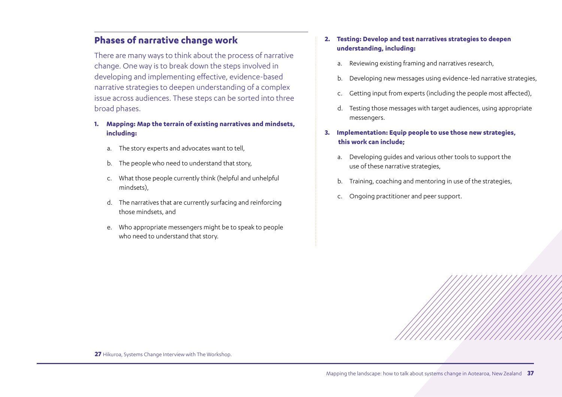## **Phases of narrative change work**

There are many ways to think about the process of narrative change. One way is to break down the steps involved in developing and implementing effective, evidence-based narrative strategies to deepen understanding of a complex issue across audiences. These steps can be sorted into three broad phases.

- **1. Mapping: Map the terrain of existing narratives and mindsets, including:** 
	- a. The story experts and advocates want to tell,
	- b. The people who need to understand that story,
	- c. What those people currently think (helpful and unhelpful mindsets),
	- d. The narratives that are currently surfacing and reinforcing those mindsets, and
	- e. Who appropriate messengers might be to speak to people who need to understand that story.

#### **2. Testing: Develop and test narratives strategies to deepen understanding, including:**

- a. Reviewing existing framing and narratives research,
- b. Developing new messages using evidence-led narrative strategies,
- c. Getting input from experts (including the people most affected),
- d. Testing those messages with target audiences, using appropriate messengers.

#### **3. Implementation: Equip people to use those new strategies, this work can include;**

- a. Developing guides and various other tools to support the use of these narrative strategies,
- b. Training, coaching and mentoring in use of the strategies,
- c. Ongoing practitioner and peer support.

**27** Hikuroa, Systems Change Interview with The Workshop.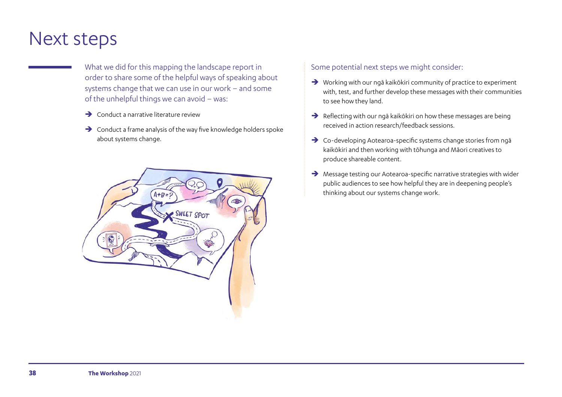# Next steps

What we did for this mapping the landscape report in order to share some of the helpful ways of speaking about systems change that we can use in our work – and some of the unhelpful things we can avoid – was:

- $\rightarrow$  Conduct a narrative literature review
- $\rightarrow$  Conduct a frame analysis of the way five knowledge holders spoke about systems change.



#### Some potential next steps we might consider:

- $\rightarrow$  Working with our ngā kaikōkiri community of practice to experiment with, test, and further develop these messages with their communities to see how they land.
- $\rightarrow$  Reflecting with our ngā kaikōkiri on how these messages are being received in action research/feedback sessions.
- $\rightarrow$  Co-developing Aotearoa-specific systems change stories from ngā kaikōkiri and then working with tōhunga and Māori creatives to produce shareable content.
- $\rightarrow$  Message testing our Aotearoa-specific narrative strategies with wider public audiences to see how helpful they are in deepening people's thinking about our systems change work.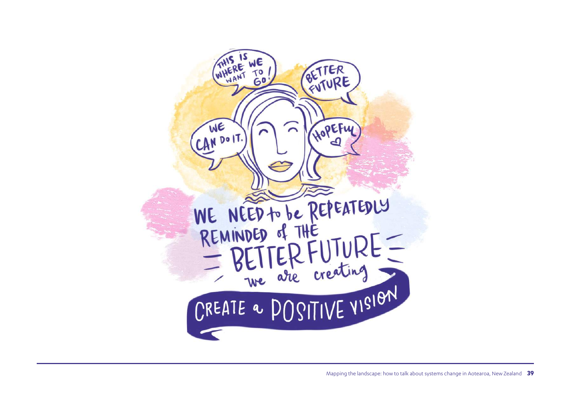WE WHERE TER  $\overline{10}$ FUTURE  $60$ HOPEFUL WE  $\sim$  $DoIT.$ WE NÉED to be REPEATEDLY REMINDED of THE<br>= BETTER FUTURE =<br>CREATE a DOSITIVE VISION